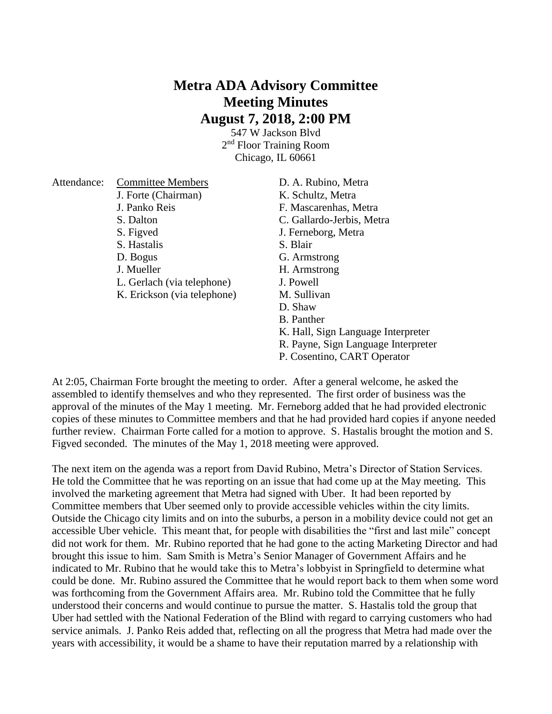## **Metra ADA Advisory Committee Meeting Minutes August 7, 2018, 2:00 PM**

547 W Jackson Blvd 2<sup>nd</sup> Floor Training Room Chicago, IL 60661

| Attendance: | <b>Committee Members</b>    | D. A. Rubino, Metra                 |
|-------------|-----------------------------|-------------------------------------|
|             | J. Forte (Chairman)         | K. Schultz, Metra                   |
|             | J. Panko Reis               | F. Mascarenhas, Metra               |
|             | S. Dalton                   | C. Gallardo-Jerbis, Metra           |
|             | S. Figved                   | J. Ferneborg, Metra                 |
|             | S. Hastalis                 | S. Blair                            |
|             | D. Bogus                    | G. Armstrong                        |
|             | J. Mueller                  | H. Armstrong                        |
|             | L. Gerlach (via telephone)  | J. Powell                           |
|             | K. Erickson (via telephone) | M. Sullivan                         |
|             |                             | D. Shaw                             |
|             |                             | B. Panther                          |
|             |                             | K. Hall, Sign Language Interpreter  |
|             |                             | R. Payne, Sign Language Interpreter |

P. Cosentino, CART Operator

At 2:05, Chairman Forte brought the meeting to order. After a general welcome, he asked the assembled to identify themselves and who they represented. The first order of business was the approval of the minutes of the May 1 meeting. Mr. Ferneborg added that he had provided electronic copies of these minutes to Committee members and that he had provided hard copies if anyone needed further review. Chairman Forte called for a motion to approve. S. Hastalis brought the motion and S. Figved seconded. The minutes of the May 1, 2018 meeting were approved.

The next item on the agenda was a report from David Rubino, Metra's Director of Station Services. He told the Committee that he was reporting on an issue that had come up at the May meeting. This involved the marketing agreement that Metra had signed with Uber. It had been reported by Committee members that Uber seemed only to provide accessible vehicles within the city limits. Outside the Chicago city limits and on into the suburbs, a person in a mobility device could not get an accessible Uber vehicle. This meant that, for people with disabilities the "first and last mile" concept did not work for them. Mr. Rubino reported that he had gone to the acting Marketing Director and had brought this issue to him. Sam Smith is Metra's Senior Manager of Government Affairs and he indicated to Mr. Rubino that he would take this to Metra's lobbyist in Springfield to determine what could be done. Mr. Rubino assured the Committee that he would report back to them when some word was forthcoming from the Government Affairs area. Mr. Rubino told the Committee that he fully understood their concerns and would continue to pursue the matter. S. Hastalis told the group that Uber had settled with the National Federation of the Blind with regard to carrying customers who had service animals. J. Panko Reis added that, reflecting on all the progress that Metra had made over the years with accessibility, it would be a shame to have their reputation marred by a relationship with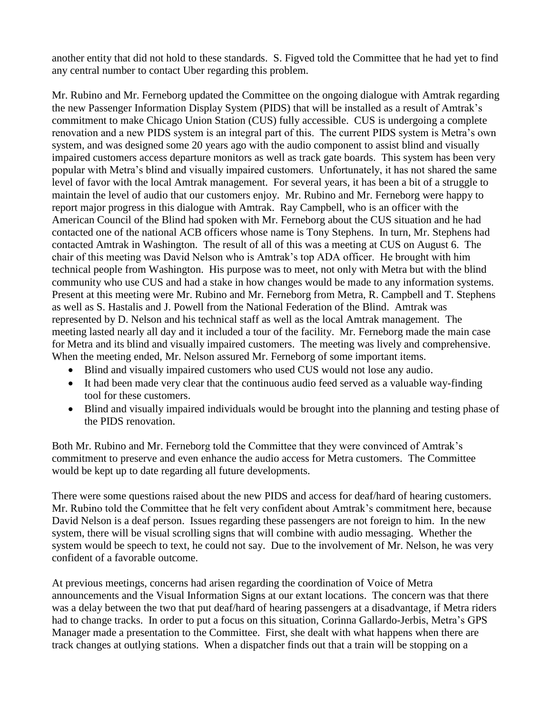another entity that did not hold to these standards. S. Figved told the Committee that he had yet to find any central number to contact Uber regarding this problem.

Mr. Rubino and Mr. Ferneborg updated the Committee on the ongoing dialogue with Amtrak regarding the new Passenger Information Display System (PIDS) that will be installed as a result of Amtrak's commitment to make Chicago Union Station (CUS) fully accessible. CUS is undergoing a complete renovation and a new PIDS system is an integral part of this. The current PIDS system is Metra's own system, and was designed some 20 years ago with the audio component to assist blind and visually impaired customers access departure monitors as well as track gate boards. This system has been very popular with Metra's blind and visually impaired customers. Unfortunately, it has not shared the same level of favor with the local Amtrak management. For several years, it has been a bit of a struggle to maintain the level of audio that our customers enjoy. Mr. Rubino and Mr. Ferneborg were happy to report major progress in this dialogue with Amtrak. Ray Campbell, who is an officer with the American Council of the Blind had spoken with Mr. Ferneborg about the CUS situation and he had contacted one of the national ACB officers whose name is Tony Stephens. In turn, Mr. Stephens had contacted Amtrak in Washington. The result of all of this was a meeting at CUS on August 6. The chair of this meeting was David Nelson who is Amtrak's top ADA officer. He brought with him technical people from Washington. His purpose was to meet, not only with Metra but with the blind community who use CUS and had a stake in how changes would be made to any information systems. Present at this meeting were Mr. Rubino and Mr. Ferneborg from Metra, R. Campbell and T. Stephens as well as S. Hastalis and J. Powell from the National Federation of the Blind. Amtrak was represented by D. Nelson and his technical staff as well as the local Amtrak management. The meeting lasted nearly all day and it included a tour of the facility. Mr. Ferneborg made the main case for Metra and its blind and visually impaired customers. The meeting was lively and comprehensive. When the meeting ended, Mr. Nelson assured Mr. Ferneborg of some important items.

- Blind and visually impaired customers who used CUS would not lose any audio.
- It had been made very clear that the continuous audio feed served as a valuable way-finding tool for these customers.
- Blind and visually impaired individuals would be brought into the planning and testing phase of the PIDS renovation.

Both Mr. Rubino and Mr. Ferneborg told the Committee that they were convinced of Amtrak's commitment to preserve and even enhance the audio access for Metra customers. The Committee would be kept up to date regarding all future developments.

There were some questions raised about the new PIDS and access for deaf/hard of hearing customers. Mr. Rubino told the Committee that he felt very confident about Amtrak's commitment here, because David Nelson is a deaf person. Issues regarding these passengers are not foreign to him. In the new system, there will be visual scrolling signs that will combine with audio messaging. Whether the system would be speech to text, he could not say. Due to the involvement of Mr. Nelson, he was very confident of a favorable outcome.

At previous meetings, concerns had arisen regarding the coordination of Voice of Metra announcements and the Visual Information Signs at our extant locations. The concern was that there was a delay between the two that put deaf/hard of hearing passengers at a disadvantage, if Metra riders had to change tracks. In order to put a focus on this situation, Corinna Gallardo-Jerbis, Metra's GPS Manager made a presentation to the Committee. First, she dealt with what happens when there are track changes at outlying stations. When a dispatcher finds out that a train will be stopping on a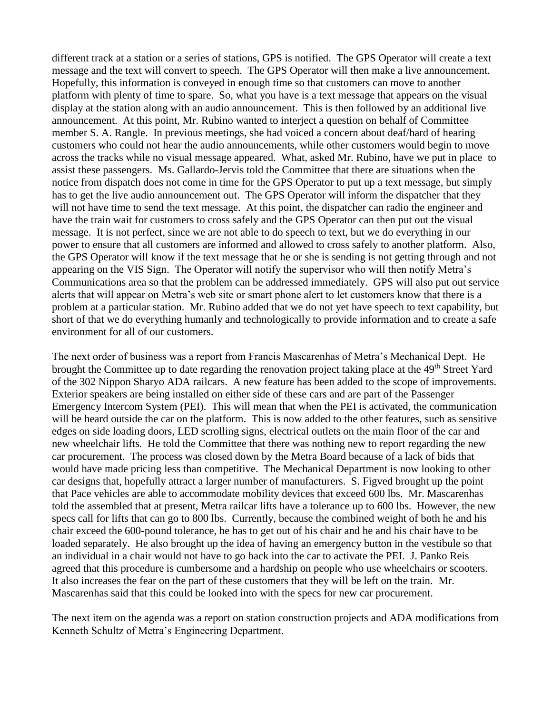different track at a station or a series of stations, GPS is notified. The GPS Operator will create a text message and the text will convert to speech. The GPS Operator will then make a live announcement. Hopefully, this information is conveyed in enough time so that customers can move to another platform with plenty of time to spare. So, what you have is a text message that appears on the visual display at the station along with an audio announcement. This is then followed by an additional live announcement. At this point, Mr. Rubino wanted to interject a question on behalf of Committee member S. A. Rangle. In previous meetings, she had voiced a concern about deaf/hard of hearing customers who could not hear the audio announcements, while other customers would begin to move across the tracks while no visual message appeared. What, asked Mr. Rubino, have we put in place to assist these passengers. Ms. Gallardo-Jervis told the Committee that there are situations when the notice from dispatch does not come in time for the GPS Operator to put up a text message, but simply has to get the live audio announcement out. The GPS Operator will inform the dispatcher that they will not have time to send the text message. At this point, the dispatcher can radio the engineer and have the train wait for customers to cross safely and the GPS Operator can then put out the visual message. It is not perfect, since we are not able to do speech to text, but we do everything in our power to ensure that all customers are informed and allowed to cross safely to another platform. Also, the GPS Operator will know if the text message that he or she is sending is not getting through and not appearing on the VIS Sign. The Operator will notify the supervisor who will then notify Metra's Communications area so that the problem can be addressed immediately. GPS will also put out service alerts that will appear on Metra's web site or smart phone alert to let customers know that there is a problem at a particular station. Mr. Rubino added that we do not yet have speech to text capability, but short of that we do everything humanly and technologically to provide information and to create a safe environment for all of our customers.

The next order of business was a report from Francis Mascarenhas of Metra's Mechanical Dept. He brought the Committee up to date regarding the renovation project taking place at the 49<sup>th</sup> Street Yard of the 302 Nippon Sharyo ADA railcars. A new feature has been added to the scope of improvements. Exterior speakers are being installed on either side of these cars and are part of the Passenger Emergency Intercom System (PEI). This will mean that when the PEI is activated, the communication will be heard outside the car on the platform. This is now added to the other features, such as sensitive edges on side loading doors, LED scrolling signs, electrical outlets on the main floor of the car and new wheelchair lifts. He told the Committee that there was nothing new to report regarding the new car procurement. The process was closed down by the Metra Board because of a lack of bids that would have made pricing less than competitive. The Mechanical Department is now looking to other car designs that, hopefully attract a larger number of manufacturers. S. Figved brought up the point that Pace vehicles are able to accommodate mobility devices that exceed 600 lbs. Mr. Mascarenhas told the assembled that at present, Metra railcar lifts have a tolerance up to 600 lbs. However, the new specs call for lifts that can go to 800 lbs. Currently, because the combined weight of both he and his chair exceed the 600-pound tolerance, he has to get out of his chair and he and his chair have to be loaded separately. He also brought up the idea of having an emergency button in the vestibule so that an individual in a chair would not have to go back into the car to activate the PEI. J. Panko Reis agreed that this procedure is cumbersome and a hardship on people who use wheelchairs or scooters. It also increases the fear on the part of these customers that they will be left on the train. Mr. Mascarenhas said that this could be looked into with the specs for new car procurement.

The next item on the agenda was a report on station construction projects and ADA modifications from Kenneth Schultz of Metra's Engineering Department.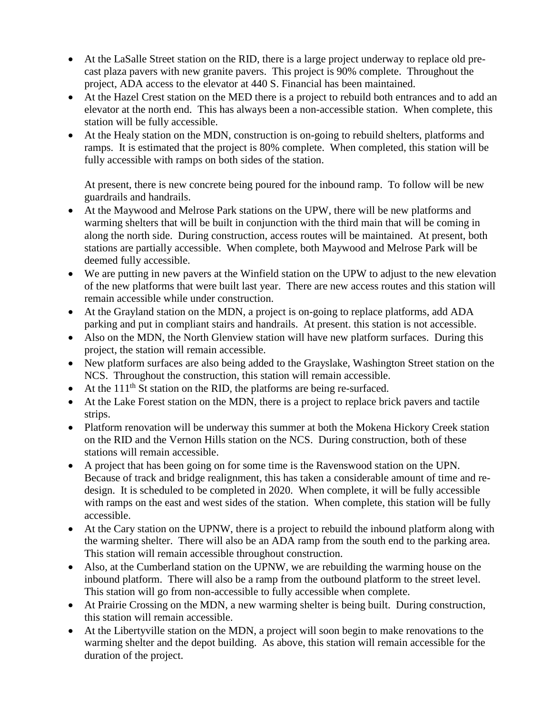- At the LaSalle Street station on the RID, there is a large project underway to replace old precast plaza pavers with new granite pavers. This project is 90% complete. Throughout the project, ADA access to the elevator at 440 S. Financial has been maintained.
- At the Hazel Crest station on the MED there is a project to rebuild both entrances and to add an elevator at the north end. This has always been a non-accessible station. When complete, this station will be fully accessible.
- At the Healy station on the MDN, construction is on-going to rebuild shelters, platforms and ramps. It is estimated that the project is 80% complete. When completed, this station will be fully accessible with ramps on both sides of the station.

At present, there is new concrete being poured for the inbound ramp. To follow will be new guardrails and handrails.

- At the Maywood and Melrose Park stations on the UPW, there will be new platforms and warming shelters that will be built in conjunction with the third main that will be coming in along the north side. During construction, access routes will be maintained. At present, both stations are partially accessible. When complete, both Maywood and Melrose Park will be deemed fully accessible.
- We are putting in new pavers at the Winfield station on the UPW to adjust to the new elevation of the new platforms that were built last year. There are new access routes and this station will remain accessible while under construction.
- At the Grayland station on the MDN, a project is on-going to replace platforms, add ADA parking and put in compliant stairs and handrails. At present. this station is not accessible.
- Also on the MDN, the North Glenview station will have new platform surfaces. During this project, the station will remain accessible.
- New platform surfaces are also being added to the Grayslake, Washington Street station on the NCS. Throughout the construction, this station will remain accessible.
- $\bullet$  At the 111<sup>th</sup> St station on the RID, the platforms are being re-surfaced.
- At the Lake Forest station on the MDN, there is a project to replace brick pavers and tactile strips.
- Platform renovation will be underway this summer at both the Mokena Hickory Creek station on the RID and the Vernon Hills station on the NCS. During construction, both of these stations will remain accessible.
- A project that has been going on for some time is the Ravenswood station on the UPN. Because of track and bridge realignment, this has taken a considerable amount of time and redesign. It is scheduled to be completed in 2020. When complete, it will be fully accessible with ramps on the east and west sides of the station. When complete, this station will be fully accessible.
- At the Cary station on the UPNW, there is a project to rebuild the inbound platform along with the warming shelter. There will also be an ADA ramp from the south end to the parking area. This station will remain accessible throughout construction.
- Also, at the Cumberland station on the UPNW, we are rebuilding the warming house on the inbound platform. There will also be a ramp from the outbound platform to the street level. This station will go from non-accessible to fully accessible when complete.
- At Prairie Crossing on the MDN, a new warming shelter is being built. During construction, this station will remain accessible.
- At the Libertyville station on the MDN, a project will soon begin to make renovations to the warming shelter and the depot building. As above, this station will remain accessible for the duration of the project.